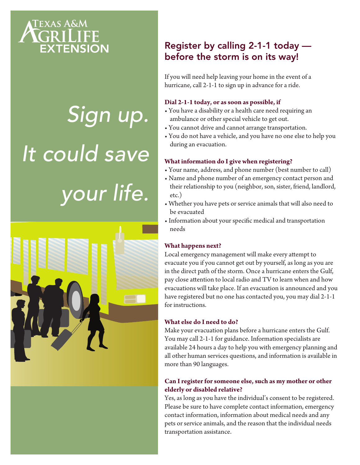

# *Sign up. It could save your life.*



# Register by calling 2-1-1 today before the storm is on its way!

If you will need help leaving your home in the event of a hurricane, call 2-1-1 to sign up in advance for a ride.

#### **Dial 2-1-1 today, or as soon as possible, if**

- You have a disability or a health care need requiring an ambulance or other special vehicle to get out.
- You cannot drive and cannot arrange transportation.
- You do not have a vehicle, and you have no one else to help you during an evacuation.

# **What information do I give when registering?**

- Your name, address, and phone number (best number to call)
- Name and phone number of an emergency contact person and their relationship to you (neighbor, son, sister, friend, landlord, etc.)
- Whether you have pets or service animals that will also need to be evacuated
- Information about your specific medical and transportation needs

### **What happens next?**

Local emergency management will make every attempt to evacuate you if you cannot get out by yourself, as long as you are in the direct path of the storm. Once a hurricane enters the Gulf, pay close attention to local radio and TV to learn when and how evacuations will take place. If an evacuation is announced and you have registered but no one has contacted you, you may dial 2-1-1 for instructions.

### **What else do I need to do?**

Make your evacuation plans before a hurricane enters the Gulf. You may call 2-1-1 for guidance. Information specialists are available 24 hours a day to help you with emergency planning and all other human services questions, and information is available in more than 90 languages.

# **Can I register for someone else, such as my mother or other elderly or disabled relative?**

Yes, as long as you have the individual's consent to be registered. Please be sure to have complete contact information, emergency contact information, information about medical needs and any pets or service animals, and the reason that the individual needs transportation assistance.